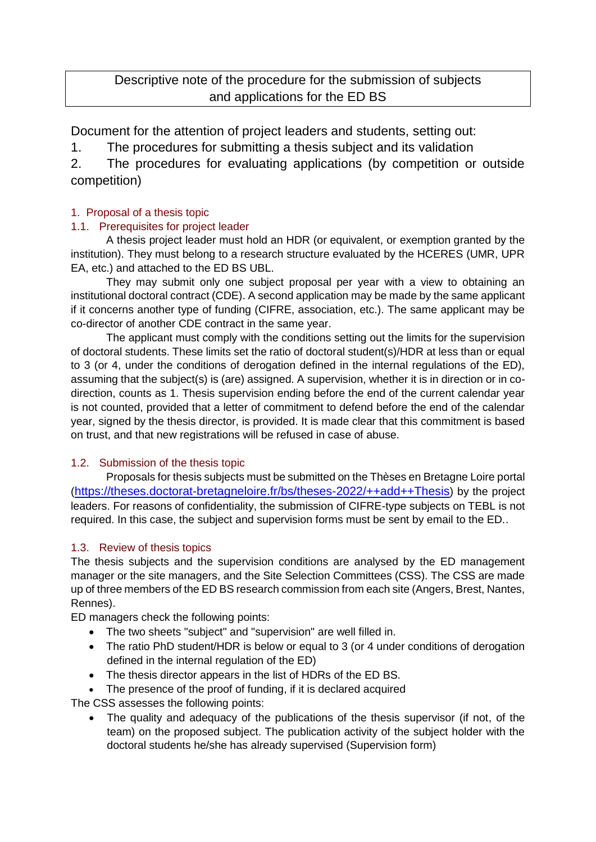# Descriptive note of the procedure for the submission of subjects and applications for the ED BS

Document for the attention of project leaders and students, setting out:

1. The procedures for submitting a thesis subject and its validation

2. The procedures for evaluating applications (by competition or outside competition)

## 1. Proposal of a thesis topic

## 1.1. Prerequisites for project leader

A thesis project leader must hold an HDR (or equivalent, or exemption granted by the institution). They must belong to a research structure evaluated by the HCERES (UMR, UPR EA, etc.) and attached to the ED BS UBL.

They may submit only one subject proposal per year with a view to obtaining an institutional doctoral contract (CDE). A second application may be made by the same applicant if it concerns another type of funding (CIFRE, association, etc.). The same applicant may be co-director of another CDE contract in the same year.

The applicant must comply with the conditions setting out the limits for the supervision of doctoral students. These limits set the ratio of doctoral student(s)/HDR at less than or equal to 3 (or 4, under the conditions of derogation defined in the internal regulations of the ED), assuming that the subject(s) is (are) assigned. A supervision, whether it is in direction or in codirection, counts as 1. Thesis supervision ending before the end of the current calendar year is not counted, provided that a letter of commitment to defend before the end of the calendar year, signed by the thesis director, is provided. It is made clear that this commitment is based on trust, and that new registrations will be refused in case of abuse.

### 1.2. Submission of the thesis topic

Proposals for thesis subjects must be submitted on the Thèses en Bretagne Loire portal (<https://theses.doctorat-bretagneloire.fr/bs/theses-2022/++add++Thesis>) by the project leaders. For reasons of confidentiality, the submission of CIFRE-type subjects on TEBL is not required. In this case, the subject and supervision forms must be sent by email to the ED..

### 1.3. Review of thesis topics

The thesis subjects and the supervision conditions are analysed by the ED management manager or the site managers, and the Site Selection Committees (CSS). The CSS are made up of three members of the ED BS research commission from each site (Angers, Brest, Nantes, Rennes).

ED managers check the following points:

- The two sheets "subject" and "supervision" are well filled in.
- The ratio PhD student/HDR is below or equal to 3 (or 4 under conditions of derogation defined in the internal regulation of the ED)
- The thesis director appears in the list of HDRs of the ED BS.
- The presence of the proof of funding, if it is declared acquired

The CSS assesses the following points:

• The quality and adequacy of the publications of the thesis supervisor (if not, of the team) on the proposed subject. The publication activity of the subject holder with the doctoral students he/she has already supervised (Supervision form)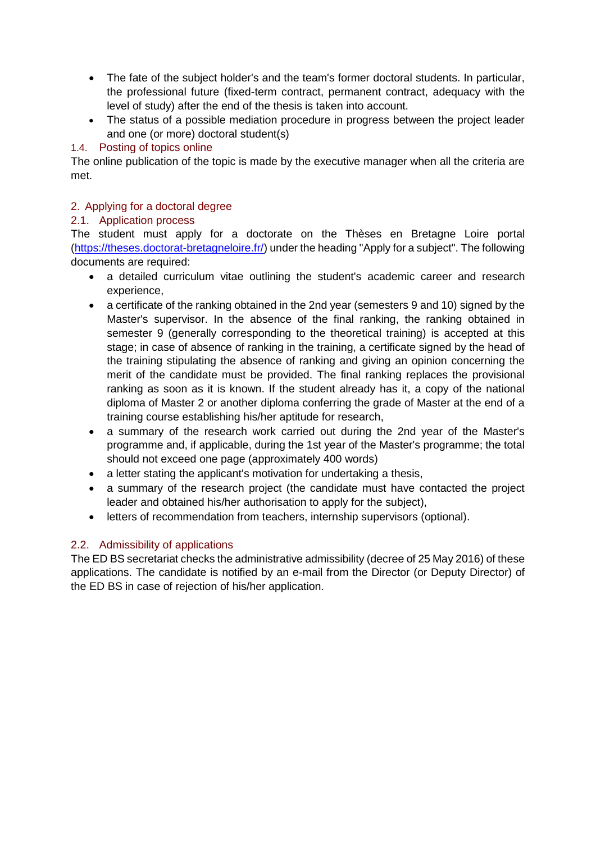- The fate of the subject holder's and the team's former doctoral students. In particular, the professional future (fixed-term contract, permanent contract, adequacy with the level of study) after the end of the thesis is taken into account.
- The status of a possible mediation procedure in progress between the project leader and one (or more) doctoral student(s)

### 1.4. Posting of topics online

The online publication of the topic is made by the executive manager when all the criteria are met.

### 2. Applying for a doctoral degree

## 2.1. Application process

The student must apply for a doctorate on the Thèses en Bretagne Loire portal [\(https://theses.doctorat-bretagneloire.fr/\)](https://theses.doctorat-bretagneloire.fr/) under the heading "Apply for a subject". The following documents are required:

- a detailed curriculum vitae outlining the student's academic career and research experience,
- a certificate of the ranking obtained in the 2nd year (semesters 9 and 10) signed by the Master's supervisor. In the absence of the final ranking, the ranking obtained in semester 9 (generally corresponding to the theoretical training) is accepted at this stage; in case of absence of ranking in the training, a certificate signed by the head of the training stipulating the absence of ranking and giving an opinion concerning the merit of the candidate must be provided. The final ranking replaces the provisional ranking as soon as it is known. If the student already has it, a copy of the national diploma of Master 2 or another diploma conferring the grade of Master at the end of a training course establishing his/her aptitude for research,
- a summary of the research work carried out during the 2nd year of the Master's programme and, if applicable, during the 1st year of the Master's programme; the total should not exceed one page (approximately 400 words)
- a letter stating the applicant's motivation for undertaking a thesis,
- a summary of the research project (the candidate must have contacted the project leader and obtained his/her authorisation to apply for the subject),
- letters of recommendation from teachers, internship supervisors (optional).

# 2.2. Admissibility of applications

The ED BS secretariat checks the administrative admissibility (decree of 25 May 2016) of these applications. The candidate is notified by an e-mail from the Director (or Deputy Director) of the ED BS in case of rejection of his/her application.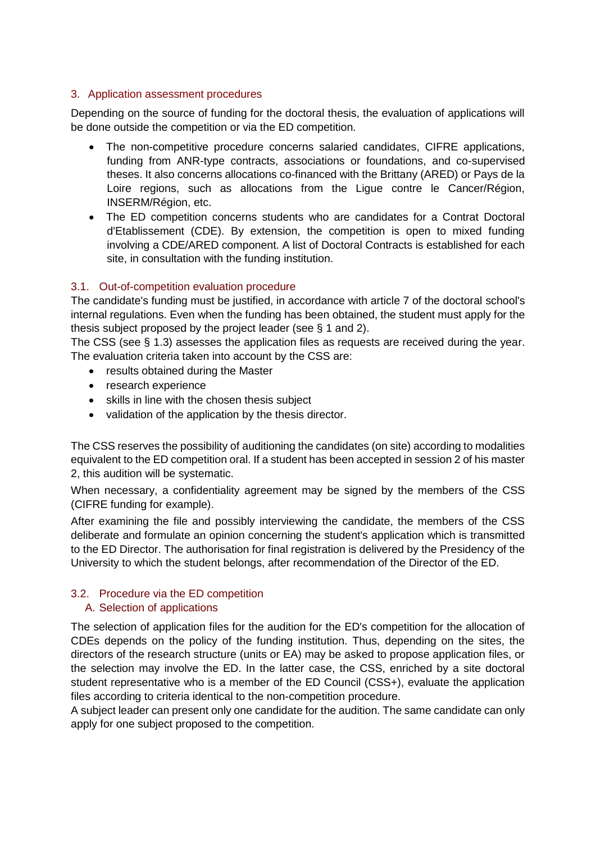#### 3. Application assessment procedures

Depending on the source of funding for the doctoral thesis, the evaluation of applications will be done outside the competition or via the ED competition.

- The non-competitive procedure concerns salaried candidates, CIFRE applications, funding from ANR-type contracts, associations or foundations, and co-supervised theses. It also concerns allocations co-financed with the Brittany (ARED) or Pays de la Loire regions, such as allocations from the Ligue contre le Cancer/Région, INSERM/Région, etc.
- The ED competition concerns students who are candidates for a Contrat Doctoral d'Etablissement (CDE). By extension, the competition is open to mixed funding involving a CDE/ARED component. A list of Doctoral Contracts is established for each site, in consultation with the funding institution.

### 3.1. Out-of-competition evaluation procedure

The candidate's funding must be justified, in accordance with article 7 of the doctoral school's internal regulations. Even when the funding has been obtained, the student must apply for the thesis subject proposed by the project leader (see § 1 and 2).

The CSS (see § 1.3) assesses the application files as requests are received during the year. The evaluation criteria taken into account by the CSS are:

- results obtained during the Master
- research experience
- skills in line with the chosen thesis subject
- validation of the application by the thesis director.

The CSS reserves the possibility of auditioning the candidates (on site) according to modalities equivalent to the ED competition oral. If a student has been accepted in session 2 of his master 2, this audition will be systematic.

When necessary, a confidentiality agreement may be signed by the members of the CSS (CIFRE funding for example).

After examining the file and possibly interviewing the candidate, the members of the CSS deliberate and formulate an opinion concerning the student's application which is transmitted to the ED Director. The authorisation for final registration is delivered by the Presidency of the University to which the student belongs, after recommendation of the Director of the ED.

#### 3.2. Procedure via the ED competition A. Selection of applications

The selection of application files for the audition for the ED's competition for the allocation of CDEs depends on the policy of the funding institution. Thus, depending on the sites, the directors of the research structure (units or EA) may be asked to propose application files, or the selection may involve the ED. In the latter case, the CSS, enriched by a site doctoral student representative who is a member of the ED Council (CSS+), evaluate the application files according to criteria identical to the non-competition procedure.

A subject leader can present only one candidate for the audition. The same candidate can only apply for one subject proposed to the competition.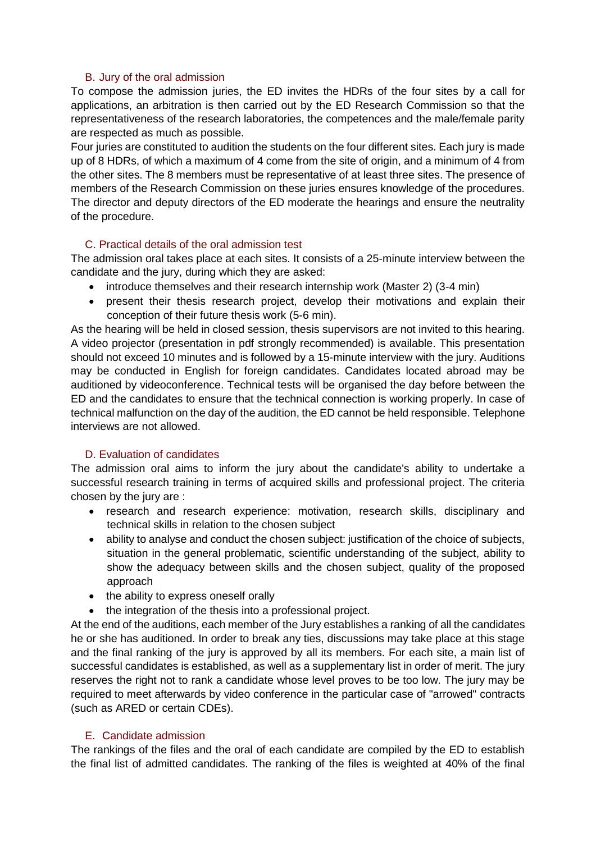#### B. Jury of the oral admission

To compose the admission juries, the ED invites the HDRs of the four sites by a call for applications, an arbitration is then carried out by the ED Research Commission so that the representativeness of the research laboratories, the competences and the male/female parity are respected as much as possible.

Four juries are constituted to audition the students on the four different sites. Each jury is made up of 8 HDRs, of which a maximum of 4 come from the site of origin, and a minimum of 4 from the other sites. The 8 members must be representative of at least three sites. The presence of members of the Research Commission on these juries ensures knowledge of the procedures. The director and deputy directors of the ED moderate the hearings and ensure the neutrality of the procedure.

#### C. Practical details of the oral admission test

The admission oral takes place at each sites. It consists of a 25-minute interview between the candidate and the jury, during which they are asked:

- introduce themselves and their research internship work (Master 2) (3-4 min)
- present their thesis research project, develop their motivations and explain their conception of their future thesis work (5-6 min).

As the hearing will be held in closed session, thesis supervisors are not invited to this hearing. A video projector (presentation in pdf strongly recommended) is available. This presentation should not exceed 10 minutes and is followed by a 15-minute interview with the jury. Auditions may be conducted in English for foreign candidates. Candidates located abroad may be auditioned by videoconference. Technical tests will be organised the day before between the ED and the candidates to ensure that the technical connection is working properly. In case of technical malfunction on the day of the audition, the ED cannot be held responsible. Telephone interviews are not allowed.

### D. Evaluation of candidates

The admission oral aims to inform the jury about the candidate's ability to undertake a successful research training in terms of acquired skills and professional project. The criteria chosen by the jury are :

- research and research experience: motivation, research skills, disciplinary and technical skills in relation to the chosen subject
- ability to analyse and conduct the chosen subject: justification of the choice of subjects, situation in the general problematic, scientific understanding of the subject, ability to show the adequacy between skills and the chosen subject, quality of the proposed approach
- the ability to express oneself orally
- the integration of the thesis into a professional project.

At the end of the auditions, each member of the Jury establishes a ranking of all the candidates he or she has auditioned. In order to break any ties, discussions may take place at this stage and the final ranking of the jury is approved by all its members. For each site, a main list of successful candidates is established, as well as a supplementary list in order of merit. The jury reserves the right not to rank a candidate whose level proves to be too low. The jury may be required to meet afterwards by video conference in the particular case of "arrowed" contracts (such as ARED or certain CDEs).

#### E. Candidate admission

The rankings of the files and the oral of each candidate are compiled by the ED to establish the final list of admitted candidates. The ranking of the files is weighted at 40% of the final